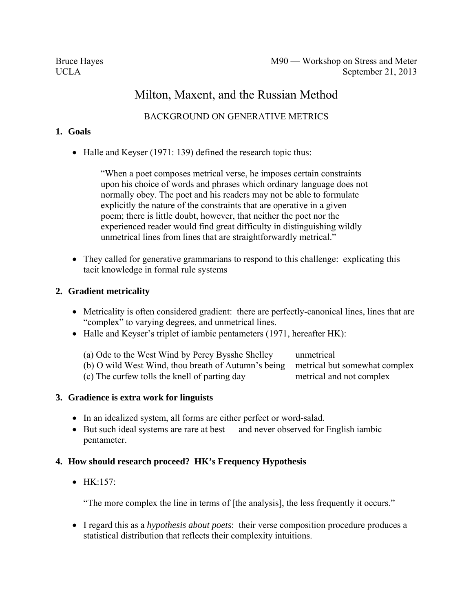# Milton, Maxent, and the Russian Method

## BACKGROUND ON GENERATIVE METRICS

## **1. Goals**

• Halle and Keyser (1971: 139) defined the research topic thus:

"When a poet composes metrical verse, he imposes certain constraints upon his choice of words and phrases which ordinary language does not normally obey. The poet and his readers may not be able to formulate explicitly the nature of the constraints that are operative in a given poem; there is little doubt, however, that neither the poet nor the experienced reader would find great difficulty in distinguishing wildly unmetrical lines from lines that are straightforwardly metrical."

• They called for generative grammarians to respond to this challenge: explicating this tacit knowledge in formal rule systems

## **2. Gradient metricality**

- Metricality is often considered gradient: there are perfectly-canonical lines, lines that are "complex" to varying degrees, and unmetrical lines.
- Halle and Keyser's triplet of iambic pentameters (1971, hereafter HK):

| (a) Ode to the West Wind by Percy Bysshe Shelley                                  | unmetrical               |
|-----------------------------------------------------------------------------------|--------------------------|
| (b) O wild West Wind, thou breath of Autumn's being metrical but somewhat complex |                          |
| (c) The curfew tolls the knell of parting day                                     | metrical and not complex |

## **3. Gradience is extra work for linguists**

- In an idealized system, all forms are either perfect or word-salad.
- But such ideal systems are rare at best and never observed for English iambic pentameter.

## **4. How should research proceed? HK's Frequency Hypothesis**

 $\bullet$  HK $\cdot$ 157 $\cdot$ 

"The more complex the line in terms of [the analysis], the less frequently it occurs."

 I regard this as a *hypothesis about poets*: their verse composition procedure produces a statistical distribution that reflects their complexity intuitions.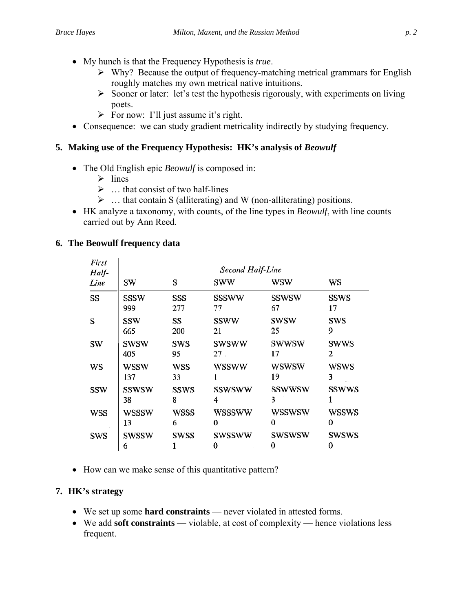- My hunch is that the Frequency Hypothesis is *true*.
	- $\triangleright$  Why? Because the output of frequency-matching metrical grammars for English roughly matches my own metrical native intuitions.
	- $\triangleright$  Sooner or later: let's test the hypothesis rigorously, with experiments on living poets.
	- $\triangleright$  For now: I'll just assume it's right.
- Consequence: we can study gradient metricality indirectly by studying frequency.

## **5. Making use of the Frequency Hypothesis: HK's analysis of** *Beowulf*

- The Old English epic *Beowulf* is composed in:
	- $\triangleright$  lines
	- $\triangleright$  ... that consist of two half-lines
	- $\triangleright$  ... that contain S (alliterating) and W (non-alliterating) positions.
- HK analyze a taxonomy, with counts, of the line types in *Beowulf*, with line counts carried out by Ann Reed.

## <span id="page-1-0"></span>**6. The Beowulf frequency data**

| First<br>Half- | Second Half-Line   |                  |                          |                    |                   |
|----------------|--------------------|------------------|--------------------------|--------------------|-------------------|
| Line           | SW                 | S                | sww                      | wsw                | WS                |
| SS             | SSSW<br>999        | SSS<br>277       | <b>SSSWW</b><br>77       | <b>SSWSW</b><br>67 | <b>SSWS</b><br>17 |
| S              | SSW<br>665         | SS<br>200        | <b>SSWW</b><br>21        | <b>SWSW</b><br>25  | SWS<br>9          |
| SW             | <b>SWSW</b><br>405 | SWS<br>95        | swsww<br>27 <sub>1</sub> | swwsw<br>17        | <b>SWWS</b><br>2  |
| WS             | WSSW<br>137        | <b>WSS</b><br>33 | <b>WSSWW</b>             | wswsw<br>19        | <b>WSWS</b><br>3  |
| SSW            | SSWSW<br>38        | SSWS<br>8        | SSWSWW<br>4              | <b>SSWWSW</b><br>3 | <b>SSWWS</b>      |
| <b>WSS</b>     | <b>WSSSW</b><br>13 | WSSS<br>6        | wsssww<br>0              | WSSWSW<br>0        | WSSWS<br>0        |
| SWS            | <b>SWSSW</b><br>6  | SWSS             | <b>SWSSWW</b><br>0       | <b>SWSWSW</b><br>0 | <b>SWSWS</b><br>0 |

• How can we make sense of this quantitative pattern?

## **7. HK's strategy**

- We set up some **hard constraints** never violated in attested forms.
- We add **soft constraints** violable, at cost of complexity hence violations less frequent.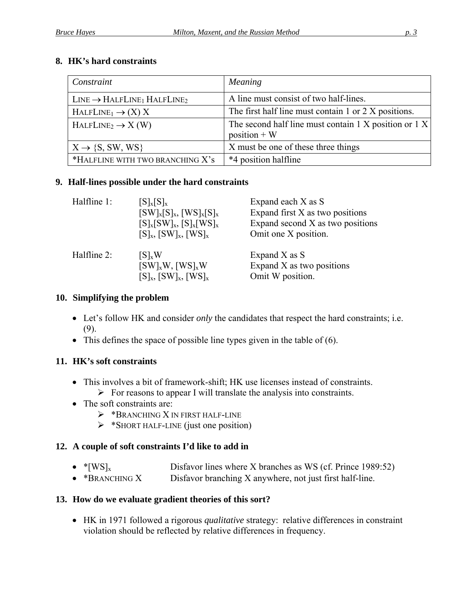## **8. HK's hard constraints**

| Constraint                               | Meaning                                                                   |
|------------------------------------------|---------------------------------------------------------------------------|
| $LINE \rightarrow HALFLINE_1 HALFLINE_2$ | A line must consist of two half-lines.                                    |
| $HALFLINE_1 \rightarrow (X) X$           | The first half line must contain 1 or 2 X positions.                      |
| $HALFLINE2 \rightarrow X (W)$            | The second half line must contain 1 X position or $1 X$<br>$position + W$ |
| $X \rightarrow \{S, SW, WS\}$            | X must be one of these three things                                       |
| *HALFLINE WITH TWO BRANCHING X's         | *4 position halfline                                                      |

## <span id="page-2-0"></span>**9. Half-lines possible under the hard constraints**

| Halfline 1: | $[S]_{x}[S]_{x}$                   | Expand each X as S               |
|-------------|------------------------------------|----------------------------------|
|             | $[SW]_{x}[S]_{x}, [WS]_{x}[S]_{x}$ | Expand first X as two positions  |
|             | $[S]_{x}[SW]_{x}, [S]_{x}[WS]_{x}$ | Expand second X as two positions |
|             | $[S]_x$ , $[SW]_x$ , $[WS]_x$      | Omit one X position.             |
| Halfline 2: | $[S]_xW$                           | Expand X as S                    |
|             | $[SW]_xW, [WS]_xW$                 | Expand X as two positions        |
|             | $[S]_x$ , $[SW]_x$ , $[WS]_x$      | Omit W position.                 |

#### **10. Simplifying the problem**

- Let's follow HK and consider *only* the candidates that respect the hard constraints; i.e. ([9\).](#page-2-0)
- $\bullet$  This defines the space of possible line types given in the table of ([6\)](#page-1-0).

## **11. HK's soft constraints**

- This involves a bit of framework-shift; HK use licenses instead of constraints.  $\triangleright$  For reasons to appear I will translate the analysis into constraints.
- The soft constraints are:
	- $\triangleright$  \*BRANCHING X IN FIRST HALF-LINE
	- $\triangleright$  \*SHORT HALF-LINE (just one position)

## **12. A couple of soft constraints I'd like to add in**

- $*[WS]_x$  Disfavor lines where X branches as WS (cf. Prince 1989:52)
- \*BRANCHING X Disfavor branching X anywhere, not just first half-line.

## **13. How do we evaluate gradient theories of this sort?**

 HK in 1971 followed a rigorous *qualitative* strategy: relative differences in constraint violation should be reflected by relative differences in frequency.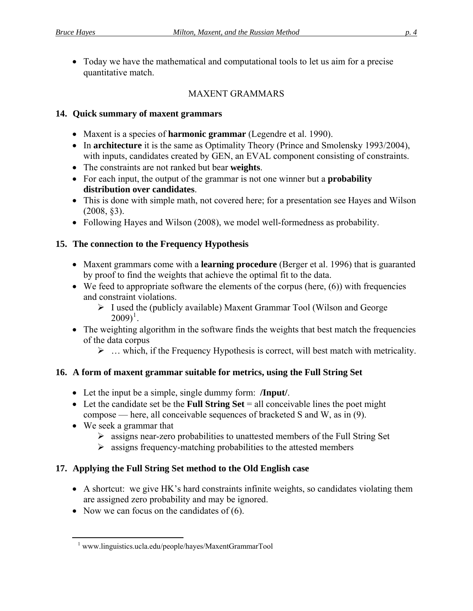Today we have the mathematical and computational tools to let us aim for a precise quantitative match.

## MAXENT GRAMMARS

## **14. Quick summary of maxent grammars**

- Maxent is a species of **harmonic grammar** (Legendre et al. 1990).
- In **architecture** it is the same as Optimality Theory (Prince and Smolensky 1993/2004), with inputs, candidates created by GEN, an EVAL component consisting of constraints.
- The constraints are not ranked but bear **weights**.
- For each input, the output of the grammar is not one winner but a **probability distribution over candidates**.
- This is done with simple math, not covered here; for a presentation see Hayes and Wilson  $(2008, \, \text{\&}3)$ .
- Following Hayes and Wilson (2008), we model well-formedness as probability.

## **15. The connection to the Frequency Hypothesis**

- Maxent grammars come with a **learning procedure** (Berger et al. 1996) that is guaranted by proof to find the weights that achieve the optimal fit to the data.
- $\bullet$  We feed to appropriate software the elements of the corpus (here,  $(6)$  $(6)$ ) with frequencies and constraint violations.
	- $\triangleright$  I used the (publicly available) Maxent Grammar Tool (Wilson and George  $(2009)^{1}$ .
- The weighting algorithm in the software finds the weights that best match the frequencies of the data corpus
	- $\triangleright$  ... which, if the Frequency Hypothesis is correct, will best match with metricality.

## **16. A form of maxent grammar suitable for metrics, using the Full String Set**

- Let the input be a simple, single dummy form: **/Input/**.
- $\bullet$  Let the candidate set be the **Full String Set** = all conceivable lines the poet might compose — here, all conceivable sequences of bracketed S and W, as in  $(9)$ .
- We seek a grammar that

 $\overline{a}$ 

- $\triangleright$  assigns near-zero probabilities to unattested members of the Full String Set
- $\triangleright$  assigns frequency-matching probabilities to the attested members

## **17. Applying the Full String Set method to the Old English case**

- A shortcut: we give HK's hard constraints infinite weights, so candidates violating them are assigned zero probability and may be ignored.
- Now we can focus on the candidates of  $(6)$  $(6)$ .

<sup>1</sup> www.linguistics.ucla.edu/people/hayes/MaxentGrammarTool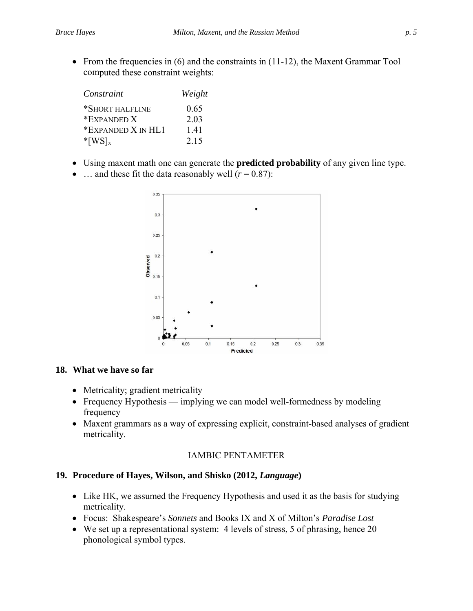• From the frequencies in (6) and the constraints in (11-12), the Maxent Grammar Tool computed these constraint weights:

| Constraint            | Weight |
|-----------------------|--------|
| *SHORT HALFLINE       | 0.65   |
| *EXPANDED X           | 2.03   |
| *EXPANDED X IN HL1    | 141    |
| $*$ [WS] <sub>x</sub> | 2.15   |

- Using maxent math one can generate the **predicted probability** of any given line type.
- ... and these fit the data reasonably well  $(r = 0.87)$ :



#### **18. What we have so far**

- Metricality; gradient metricality
- Frequency Hypothesis implying we can model well-formedness by modeling frequency
- Maxent grammars as a way of expressing explicit, constraint-based analyses of gradient metricality.

#### IAMBIC PENTAMETER

#### **19. Procedure of Hayes, Wilson, and Shisko (2012,** *Language***)**

- Like HK, we assumed the Frequency Hypothesis and used it as the basis for studying metricality.
- **•** Focus: Shakespeare's *Sonnets* and Books IX and X of Milton's *Paradise Lost*
- We set up a representational system: 4 levels of stress, 5 of phrasing, hence 20 phonological symbol types.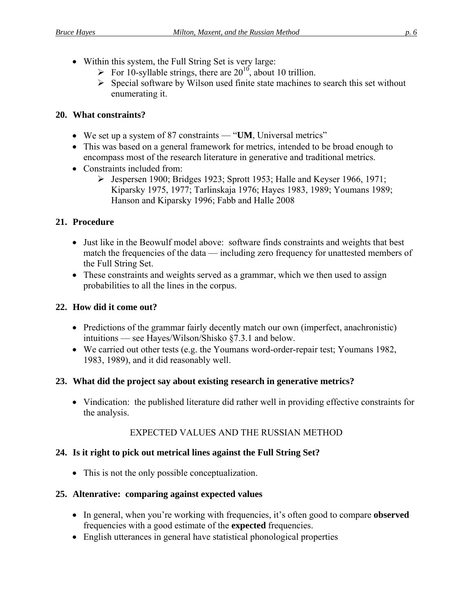- Within this system, the Full String Set is very large:
	- For 10-syllable strings, there are  $20^{10}$ , about 10 trillion.
	- $\triangleright$  Special software by Wilson used finite state machines to search this set without enumerating it.

## **20. What constraints?**

- We set up a system of 87 constraints "**UM**, Universal metrics"
- This was based on a general framework for metrics, intended to be broad enough to encompass most of the research literature in generative and traditional metrics.
- Constraints included from:
	- $\triangleright$  Jespersen 1900; Bridges 1923; Sprott 1953; Halle and Keyser 1966, 1971; Kiparsky 1975, 1977; Tarlinskaja 1976; Hayes 1983, 1989; Youmans 1989; Hanson and Kiparsky 1996; Fabb and Halle 2008

## **21. Procedure**

- Just like in the Beowulf model above: software finds constraints and weights that best match the frequencies of the data — including zero frequency for unattested members of the Full String Set.
- These constraints and weights served as a grammar, which we then used to assign probabilities to all the lines in the corpus.

## **22. How did it come out?**

- intuitions see Hayes/Wilson/Shisko  $\S 7.3.1$  and below. • Predictions of the grammar fairly decently match our own (imperfect, anachronistic)
- We carried out other tests (e.g. the Youmans word-order-repair test; Youmans 1982, 1983, 1989), and it did reasonably well.

## **23. What did the project say about existing research in generative metrics?**

 Vindication: the published literature did rather well in providing effective constraints for the analysis.

## EXPECTED VALUES AND THE RUSSIAN METHOD

## 24. Is it right to pick out metrical lines against the Full String Set?

• This is not the only possible conceptualization.

## **25. Altenrative: comparing against expected values**

- In general, when you're working with frequencies, it's often good to compare **observed** frequencies with a good estimate of the **expected** frequencies.
- English utterances in general have statistical phonological properties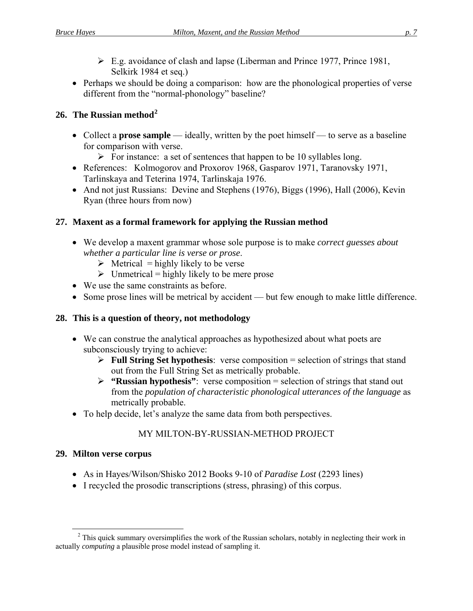- $\triangleright$  E.g. avoidance of clash and lapse (Liberman and Prince 1977, Prince 1981, Selkirk 1984 et seq.)
- Perhaps we should be doing a comparison: how are the phonological properties of verse different from the "normal-phonology" baseline?

## **26. The Russian method<sup>2</sup>**

- Collect a **prose sample** ideally, written by the poet himself to serve as a baseline for comparison with verse.
	- $\triangleright$  For instance: a set of sentences that happen to be 10 syllables long.
- Tarlinskaya and Teterina 1974, Tarlinskaja 1976. • References: Kolmogorov and Proxorov 1968, Gasparov 1971, Taranovsky 1971,
- And not just Russians: Devine and Stephens (1976), Biggs (1996), Hall (2006), Kevin Ryan (three hours from now)

## **27. Maxent as a formal framework for applying the Russian method**

- We develop a maxent grammar whose sole purpose is to make *correct guesses about whether a particular line is verse or prose*.
	- $\triangleright$  Metrical = highly likely to be verse
	- $\triangleright$  Unmetrical = highly likely to be mere prose
- We use the same constraints as before.
- Some prose lines will be metrical by accident but few enough to make little difference.

## **28. This is a question of theory, not methodology**

- We can construe the analytical approaches as hypothesized about what poets are subconsciously trying to achieve:
	- **Full String Set hypothesis**: verse composition = selection of strings that stand out from the Full String Set as metrically probable.
	- **"**: verse composition = selection of strings that stand out **"Russian hypothesis** from the *population of characteristic phonological utterances of the language* as metrically probable.
- To help decide, let's analyze the same data from both perspectives.

## MY MILTON-BY-RUSSIAN-METHOD PROJECT

## **29. Milton verse corpus**

 $\overline{a}$ 

- As in Hayes/Wilson/Shisko 2012 Books 9-10 of *Paradise Lost* (2293 lines)
- I recycled the prosodic transcriptions (stress, phrasing) of this corpus.

 $2$  This quick summary oversimplifies the work of the Russian scholars, notably in neglecting their work in actually *computing* a plausible prose model instead of sampling it.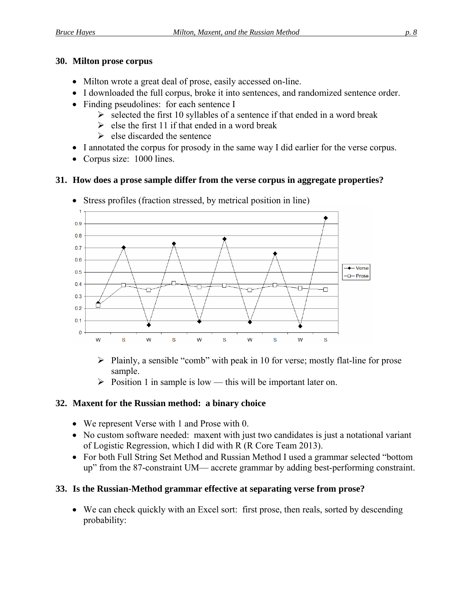#### **30. Milton prose corpus**

- Milton wrote a great deal of prose, easily accessed on-line.
- I downloaded the full corpus, broke it into sentences, and randomized sentence order.
- Finding pseudolines: for each sentence I
	- $\triangleright$  selected the first 10 syllables of a sentence if that ended in a word break
	- $\triangleright$  else the first 11 if that ended in a word break
	- $\triangleright$  else discarded the sentence
- I annotated the corpus for prosody in the same way I did earlier for the verse corpus.
- Corpus size: 1000 lines.

#### <span id="page-7-0"></span>**31. How does a prose sample differ from the verse corpus in aggregate properties?**



Stress profiles (fraction stressed, by metrical position in line)

- $\triangleright$  Plainly, a sensible "comb" with peak in 10 for verse; mostly flat-line for prose sample.
- $\triangleright$  Position 1 in sample is low this will be important later on.

## **32. Maxent for the Russian method: a binary choice**

- We represent Verse with 1 and Prose with 0.
- of Logistic Regression, which I did with R (R Core Team 2013). • No custom software needed: maxent with just two candidates is just a notational variant
- For both Full String Set Method and Russian Method I used a grammar selected "bottom up" from the 87-constraint UM— accrete grammar by adding best-performing constraint.

## 33. Is the Russian-Method grammar effective at separating verse from prose?

 We can check quickly with an Excel sort: first prose, then reals, sorted by descending probability: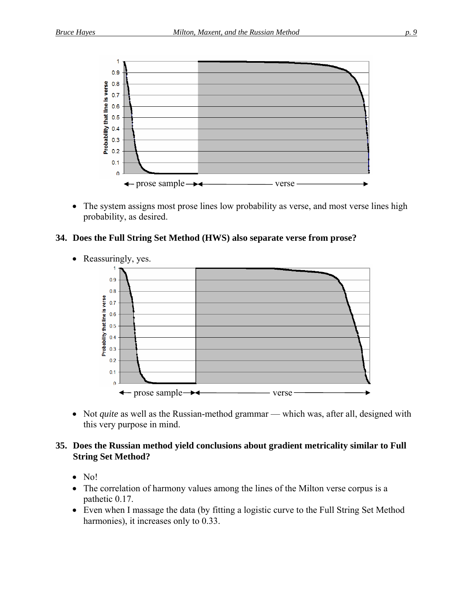

• The system assigns most prose lines low probability as verse, and most verse lines high probability, as desired.

#### **34. Does the Full String Set Method (HWS) also separate verse from prose?**



• Reassuringly, yes.

• Not *quite* as well as the Russian-method grammar — which was, after all, designed with this very purpose in mind.

#### **35. Does the Russian method yield conclusions about gradient metricality similar to Full String Set Method?**

- $\bullet$  No!
- The correlation of harmony values among the lines of the Milton verse corpus is a pathetic 0.17.
- Even when I massage the data (by fitting a logistic curve to the Full String Set Method harmonies), it increases only to 0.33.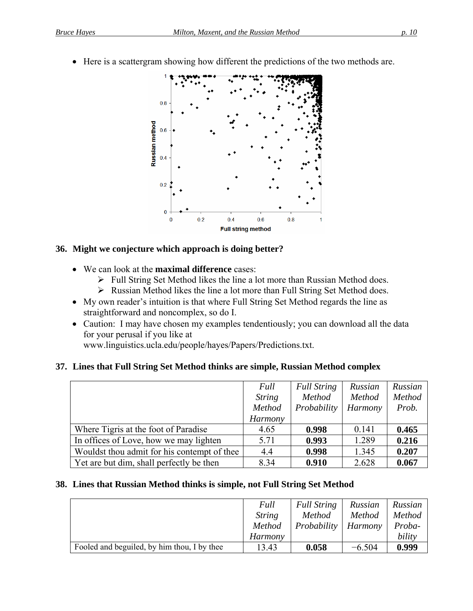Here is a scattergram showing how different the predictions of the two methods are.



#### **36. Might we conjecture which approach is doing better?**

- We can look at the **maximal difference** cases:
	- $\triangleright$  Full String Set Method likes the line a lot more than Russian Method does.
	- Russian Method likes the line a lot more than Full String Set Method does.
- My own reader's intuition is that where Full String Set Method regards the line as straightforward and noncomplex, so do I.
- Caution: I may have chosen my examples tendentiously; you can download all the data for your perusal if you like at

www.linguistics.ucla.edu/people/hayes/Papers/Predictions.txt.

## **37. Lines that Full String Set Method thinks are simple, Russian Method complex**

|                                              | Full<br><b>String</b><br>Method<br>Harmony | <b>Full String</b><br>Method<br>Probability | Russian<br><b>Method</b><br>Harmony | Russian<br>Method<br>Prob. |
|----------------------------------------------|--------------------------------------------|---------------------------------------------|-------------------------------------|----------------------------|
| Where Tigris at the foot of Paradise         | 4.65                                       | 0.998                                       | 0.141                               | 0.465                      |
| In offices of Love, how we may lighten       | 5.71                                       | 0.993                                       | 1.289                               | 0.216                      |
| Wouldst thou admit for his contempt of thee. | 4.4                                        | 0.998                                       | 1.345                               | 0.207                      |
| Yet are but dim, shall perfectly be then     | 8.34                                       | 0.910                                       | 2.628                               | 0.067                      |

## <span id="page-9-0"></span>**38. Lines that Russian Method thinks is simple, not Full String Set Method**

|                                             | Full          | <b>Full String</b> | Russian        | Russian |
|---------------------------------------------|---------------|--------------------|----------------|---------|
|                                             | <i>String</i> | Method             | <b>Method</b>  | Method  |
|                                             | Method        | Probability        | <i>Harmony</i> | Proba-  |
|                                             | Harmony       |                    |                | bility  |
| Fooled and beguiled, by him thou, I by thee | 13.43         | 0.058              | $-6.504$       | 0.999   |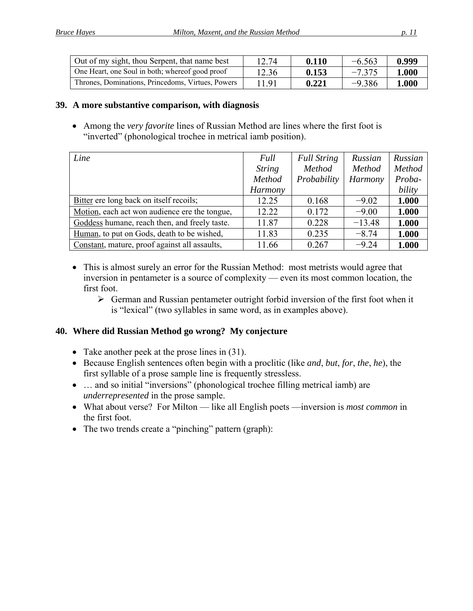| Out of my sight, thou Serpent, that name best     | 12.74 | 0.110 | $-6.563$ | 0.999 |
|---------------------------------------------------|-------|-------|----------|-------|
| One Heart, one Soul in both; whereof good proof   | 12.36 | 0.153 | $-7.375$ | 1.000 |
| Thrones, Dominations, Princedoms, Virtues, Powers | 11.91 | 0.221 | $-9.386$ | 1.000 |

## **39. A more substantive comparison, with diagnosis**

 Among the *very favorite* lines of Russian Method are lines where the first foot is "inverted" (phonological trochee in metrical iamb position).

| Line                                          | Full          | <b>Full String</b> | Russian  | Russian |
|-----------------------------------------------|---------------|--------------------|----------|---------|
|                                               | <b>String</b> | Method             | Method   | Method  |
|                                               | Method        | Probability        | Harmony  | Proba-  |
|                                               | Harmony       |                    |          | bility  |
| Bitter ere long back on itself recoils;       | 12.25         | 0.168              | $-9.02$  | 1.000   |
| Motion, each act won audience ere the tongue, | 12.22         | 0.172              | $-9.00$  | 1.000   |
| Goddess humane, reach then, and freely taste. | 11.87         | 0.228              | $-13.48$ | 1.000   |
| Human, to put on Gods, death to be wished,    | 11.83         | 0.235              | $-8.74$  | 1.000   |
| Constant, mature, proof against all assaults, | 11.66         | 0.267              | $-9.24$  | 1.000   |

- This is almost surely an error for the Russian Method: most metrists would agree that inversion in pentameter is a source of complexity — even its most common location, the first foot.
	- $\triangleright$  German and Russian pentameter outright forbid inversion of the first foot when it is "lexical" (two syllables in same word, as in examples above).

## **40. Where did Russian Method go wrong? My conjecture**

- Take another peek at the prose lines in ([31](#page-7-0)).
- Because English sentences often begin with a proclitic (like *and*, *but*, *for*, *the*, *he*), the first syllable of a prose sample line is frequently stressless.
- ... and so initial "inversions" (phonological trochee filling metrical iamb) are *underrepresented* in the prose sample.
- What about verse? For Milton like all English poets —inversion is *most common* in the first foot.
- The two trends create a "pinching" pattern (graph):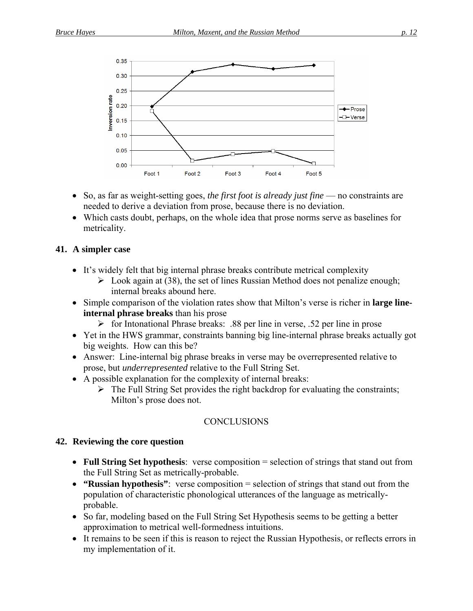

- So, as far as weight-setting goes, *the first foot is already just fine* no constraints are needed to derive a deviation from prose, because there is no deviation.
- Which casts doubt, perhaps, on the whole idea that prose norms serve as baselines for metricality.

#### **41. A simpler case**

- It's widely felt that big internal phrase breaks contribute metrical complexity
	- $\triangleright$  Look again at ([38\)](#page-9-0), the set of lines Russian Method does not penalize enough; internal breaks abound here.
- Simple comparison of the violation rates show that Milton's verse is richer in **large lineinternal phrase breaks** than his prose
	- $\triangleright$  for Intonational Phrase breaks: .88 per line in verse, .52 per line in prose
- Yet in the HWS grammar, constraints banning big line-internal phrase breaks actually got big weights. How can this be?
- Answer: Line-internal big phrase breaks in verse may be overrepresented relative to prose, but *underrepresented* relative to the Full String Set.
- A possible explanation for the complexity of internal breaks:
	- $\triangleright$  The Full String Set provides the right backdrop for evaluating the constraints; Milton's prose does not.

## **CONCLUSIONS**

## **42. Reviewing the core question**

- Full String Set hypothesis: verse composition = selection of strings that stand out from the Full String Set as metrically-probable.
- **"Russian hypothesis"**: verse composition = selection of strings that stand out from the population of characteristic phonological utterances of the language as metricallyprobable.
- So far, modeling based on the Full String Set Hypothesis seems to be getting a better approximation to metrical well-formedness intuitions.
- It remains to be seen if this is reason to reject the Russian Hypothesis, or reflects errors in my implementation of it.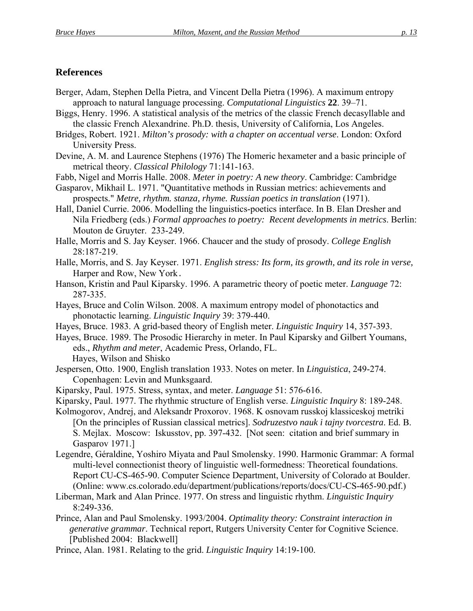## **References**

- Berger, Adam, Stephen Della Pietra, and Vincent Della Pietra (1996). A maximum entropy approach to natural language processing. *Computational Linguistics* **22**. 39–71.
- Biggs, Henry. 1996. A statistical analysis of the metrics of the classic French decasyllable and the classic French Alexandrine. Ph.D. thesis, University of California, Los Angeles.
- Bridges, Robert. 1921. *Milton's prosody: with a chapter on accentual verse*. London: Oxford University Press.
- Devine, A. M. and Laurence Stephens (1976) The Homeric hexameter and a basic principle of metrical theory. *Classical Philology* 71:141-163.
- Fabb, Nigel and Morris Halle. 2008. *Meter in poetry: A new theory*. Cambridge: Cambridge

Gasparov, Mikhail L. 1971. "Quantitative methods in Russian metrics: achievements and prospects." *Metre, rhythm. stanza, rhyme. Russian poetics in translation* (1971).

- Hall, Daniel Currie. 2006. Modelling the linguistics-poetics interface. In B. Elan Dresher and Nila Friedberg (eds.) *Formal approaches to poetry: Recent developments in metrics*. Berlin: Mouton de Gruyter. 233-249.
- Halle, Morris and S. Jay Keyser. 1966. Chaucer and the study of prosody. *College English*  28:187-219.
- Halle, Morris, and S. Jay Keyser. 1971. *English stress: Its form, its growth, and its role in verse,* Harper and Row, New York.
- Hanson, Kristin and Paul Kiparsky. 1996. A parametric theory of poetic meter. *Language* 72: 287-335.
- Hayes, Bruce and Colin Wilson. 2008. A maximum entropy model of phonotactics and phonotactic learning. *Linguistic Inquiry* 39: 379-440.
- Hayes, Bruce. 1983. A grid-based theory of English meter. *Linguistic Inquiry* 14, 357-393.
- Hayes, Bruce. 1989. The Prosodic Hierarchy in meter. In Paul Kiparsky and Gilbert Youmans, eds., *Rhythm and meter*, Academic Press, Orlando, FL. Hayes, Wilson and Shisko
- Jespersen, Otto. 1900, English translation 1933. Notes on meter. In *Linguistica*, 249-274. Copenhagen: Levin and Munksgaard.
- Kiparsky, Paul. 1975. Stress, syntax, and meter. *Language* 51: 576-616.
- Kiparsky, Paul. 1977. The rhythmic structure of English verse. *Linguistic Inquiry* 8: 189-248.
- Kolmogorov, Andrej, and Aleksandr Proxorov. 1968. K osnovam russkoj klassiceskoj metriki [On the principles of Russian classical metrics]. *Sodruzestvo nauk i tajny tvorcestra*. Ed. B. S. Mejlax. Moscow: Iskusstov, pp. 397-432. [Not seen: citation and brief summary in Gasparov 1971.]
- Legendre, Géraldine, Yoshiro Miyata and Paul Smolensky. 1990. Harmonic Grammar: A formal multi-level connectionist theory of linguistic well-formedness: Theoretical foundations. Report CU-CS-465-90. Computer Science Department, University of Colorado at Boulder. (Online: www.cs.colorado.edu/department/publications/reports/docs/CU-CS-465-90.pdf[.\)](http://www.cs.colorado.edu/department/publications/reports/docs/CU-CS-465-90.pdf)
- Liberman, Mark and Alan Prince. 1977. On stress and linguistic rhythm. *Linguistic Inquiry* 8:249-336.
- Prince, Alan and Paul Smolensky. 1993/2004. *Optimality theory: Constraint interaction in generative grammar*. Technical report, Rutgers University Center for Cognitive Science. [Published 2004: Blackwell]
- Prince, Alan. 1981. Relating to the grid. *Linguistic Inquiry* 14:19-100.